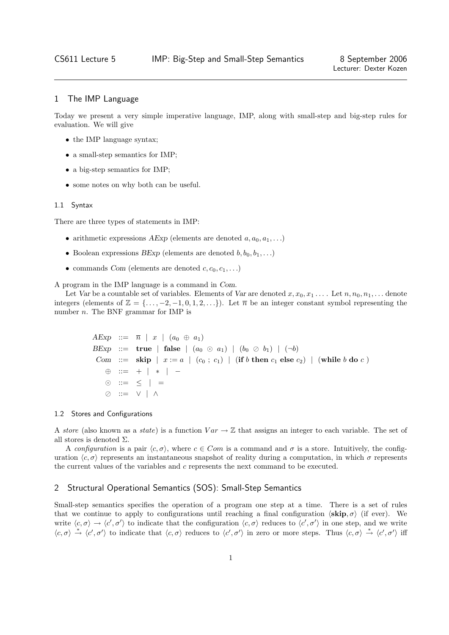# 1 The IMP Language

Today we present a very simple imperative language, IMP, along with small-step and big-step rules for evaluation. We will give

- the IMP language syntax;
- a small-step semantics for IMP;
- a big-step semantics for IMP;
- some notes on why both can be useful.

#### 1.1 Syntax

There are three types of statements in IMP:

- arithmetic expressions AExp (elements are denoted  $a, a_0, a_1, \ldots$ )
- Boolean expressions BExp (elements are denoted  $b, b_0, b_1, \ldots$ )
- commands Com (elements are denoted  $c, c_0, c_1, \ldots$ )

A program in the IMP language is a command in Com.

Let Var be a countable set of variables. Elements of Var are denoted  $x, x_0, x_1, \ldots$ . Let  $n, n_0, n_1, \ldots$  denote integers (elements of  $\mathbb{Z} = \{\ldots, -2, -1, 0, 1, 2, \ldots\}$ ). Let  $\overline{n}$  be an integer constant symbol representing the number n. The BNF grammar for IMP is

```
AExp ::= \overline{n} | x | (a_0 \oplus a_1)BExp ::= true | false | (a_0 \odot a_1) | (b_0 \oslash b_1) | (\neg b)Com ::= skip x := a \mid (c_0 : c_1) \mid (if b then c_1 else c_2) \mid (while b do c)
⊕ ::= + | ∗ | −
\odot ::= \leq | =
  ::= ∨ | ∧
```
#### 1.2 Stores and Configurations

A store (also known as a state) is a function  $Var \to \mathbb{Z}$  that assigns an integer to each variable. The set of all stores is denoted  $\Sigma$ .

A configuration is a pair  $\langle c, \sigma \rangle$ , where  $c \in Com$  is a command and  $\sigma$  is a store. Intuitively, the configuration  $\langle c, \sigma \rangle$  represents an instantaneous snapshot of reality during a computation, in which  $\sigma$  represents the current values of the variables and c represents the next command to be executed.

## 2 Structural Operational Semantics (SOS): Small-Step Semantics

Small-step semantics specifies the operation of a program one step at a time. There is a set of rules that we continue to apply to configurations until reaching a final configuration  $\langle \mathbf{skip}, \sigma \rangle$  (if ever). We write  $\langle c, \sigma \rangle \to \langle c', \sigma' \rangle$  to indicate that the configuration  $\langle c, \sigma \rangle$  reduces to  $\langle c', \sigma' \rangle$  in one step, and we write  $\langle c, \sigma \rangle \stackrel{*}{\rightarrow} \langle c', \sigma' \rangle$  to indicate that  $\langle c, \sigma \rangle$  reduces to  $\langle c', \sigma' \rangle$  in zero or more steps. Thus  $\langle c, \sigma \rangle \stackrel{*}{\rightarrow} \langle c', \sigma' \rangle$  iff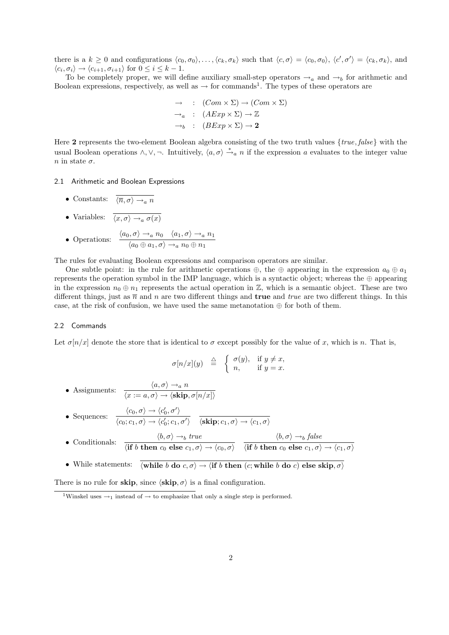there is a  $k \geq 0$  and configurations  $\langle c_0, \sigma_0 \rangle, \ldots, \langle c_k, \sigma_k \rangle$  such that  $\langle c, \sigma \rangle = \langle c_0, \sigma_0 \rangle, \langle c', \sigma' \rangle = \langle c_k, \sigma_k \rangle$ , and  $\langle c_i, \sigma_i \rangle \rightarrow \langle c_{i+1}, \sigma_{i+1} \rangle$  for  $0 \leq i \leq k-1$ .

To be completely proper, we will define auxiliary small-step operators  $\rightarrow_a$  and  $\rightarrow_b$  for arithmetic and Boolean expressions, respectively, as well as  $\rightarrow$  for commands<sup>1</sup>. The types of these operators are

$$
\rightarrow : (Com \times \Sigma) \rightarrow (Com \times \Sigma)
$$
  
\n
$$
\rightarrow_a : (AExp \times \Sigma) \rightarrow \mathbb{Z}
$$
  
\n
$$
\rightarrow_b : (BExp \times \Sigma) \rightarrow 2
$$

Here 2 represents the two-element Boolean algebra consisting of the two truth values {true, false} with the usual Boolean operations  $\wedge, \vee, \neg$ . Intuitively,  $\langle a, \sigma \rangle \stackrel{*}{\rightarrow} a$  n if the expression a evaluates to the integer value  $n$  in state  $\sigma$ .

### 2.1 Arithmetic and Boolean Expressions

- Constants:  $\overline{\langle \overline{n}, \sigma \rangle \rightarrow_a n}$
- Variables:  $\overline{\langle x, \sigma \rangle \rightarrow_a \sigma(x)}$

• Operations: 
$$
\frac{\langle a_0, \sigma \rangle \rightarrow_a n_0 \quad \langle a_1, \sigma \rangle \rightarrow_a n_1}{\langle a_0 \oplus a_1, \sigma \rangle \rightarrow_a n_0 \oplus n_1}
$$

The rules for evaluating Boolean expressions and comparison operators are similar.

One subtle point: in the rule for arithmetic operations  $\oplus$ , the  $\oplus$  appearing in the expression  $a_0 \oplus a_1$ represents the operation symbol in the IMP language, which is a syntactic object; whereas the  $oplus$  appearing in the expression  $n_0 \oplus n_1$  represents the actual operation in Z, which is a semantic object. These are two different things, just as  $\bar{n}$  and n are two different things and **true** and *true* are two different things. In this case, at the risk of confusion, we have used the same metanotation  $\oplus$  for both of them.

## 2.2 Commands

Let  $\sigma[n/x]$  denote the store that is identical to  $\sigma$  except possibly for the value of x, which is n. That is,

$$
\sigma[n/x](y) \triangleq \begin{cases} \sigma(y), & \text{if } y \neq x, \\ n, & \text{if } y = x. \end{cases}
$$

• Assignments:  $\frac{\langle a, \sigma \rangle \rightarrow_a n}{\langle a, \sigma \rangle \rightarrow_a n}$  $\langle x := a, \sigma \rangle \rightarrow \langle \mathbf{skip}, \sigma[n/x] \rangle$ 

- Sequences:  $\langle c_0, \sigma \rangle \rightarrow \langle c'_0, \sigma' \rangle$  $\langle c_0;c_1,\sigma\rangle\rightarrow \langle c_0';c_1,\sigma'\rangle\quad \langle \textbf{skip};c_1,\sigma\rangle\rightarrow \langle c_1,\sigma\rangle$
- Conditionals:  $\frac{\langle b, \sigma \rangle \rightarrow_b \text{ true}}{\langle \text{[S]} \rangle \langle b, \sigma \rangle}$  $\langle \textbf{if } b \textbf{ then } c_0 \textbf{ else } c_1, \sigma \rangle \rightarrow \langle c_0, \sigma \rangle$  $\langle b, \sigma \rangle \rightarrow_b \text{false}$  $\langle \textbf{if } b \textbf{ then } c_0 \textbf{ else } c_1, \sigma \rangle \rightarrow \langle c_1, \sigma \rangle$
- While statements:  $\overline{\langle \textbf{while } b \textbf{ do } c, \sigma \rangle \rightarrow \langle \textbf{if } b \textbf{ then } (c; \textbf{while } b \textbf{ do } c) \textbf{ else } \textbf{skip}, \sigma \rangle}$

There is no rule for skip, since  $\langle$ skip,  $\sigma$  $\rangle$  is a final configuration.

<sup>&</sup>lt;sup>1</sup>Winskel uses  $\rightarrow_1$  instead of  $\rightarrow$  to emphasize that only a single step is performed.